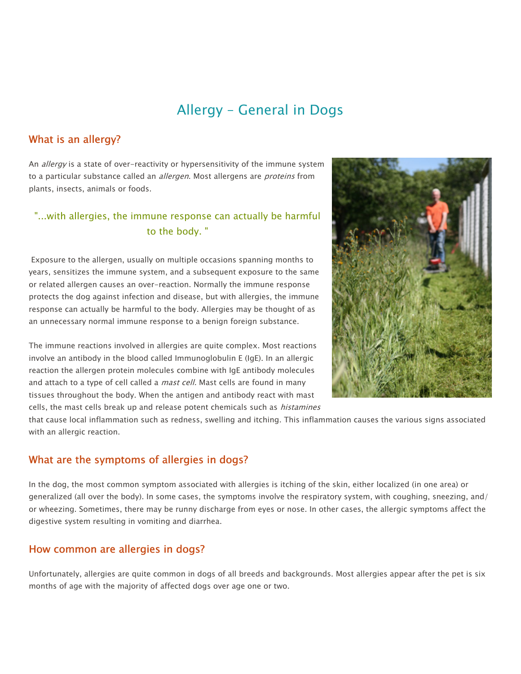# Allergy – General in Dogs

#### What is an allergy?

An *allergy* is a state of over-reactivity or hypersensitivity of the immune system to a particular substance called an *allergen*. Most allergens are *proteins* from plants, insects, animals or foods.

### "...with allergies, the immune response can actually be harmful to the body. "

Exposure to the allergen, usually on multiple occasions spanning months to years, sensitizes the immune system, and a subsequent exposure to the same or related allergen causes an over-reaction. Normally the immune response protects the dog against infection and disease, but with allergies, the immune response can actually be harmful to the body. Allergies may be thought of as an unnecessary normal immune response to a benign foreign substance.

The immune reactions involved in allergies are quite complex. Most reactions involve an antibody in the blood called Immunoglobulin E (IgE). In an allergic reaction the allergen protein molecules combine with IgE antibody molecules and attach to a type of cell called a *mast cell*. Mast cells are found in many tissues throughout the body. When the antigen and antibody react with mast cells, the mast cells break up and release potent chemicals such as *histamines* 



that cause local inflammation such as redness, swelling and itching. This inflammation causes the various signs associated with an allergic reaction.

#### What are the symptoms of allergies in dogs?

In the dog, the most common symptom associated with allergies is itching of the skin, either localized (in one area) or generalized (all over the body). In some cases, the symptoms involve the respiratory system, with coughing, sneezing, and/ or wheezing. Sometimes, there may be runny discharge from eyes or nose. In other cases, the allergic symptoms affect the digestive system resulting in vomiting and diarrhea.

#### How common are allergies in dogs?

Unfortunately, allergies are quite common in dogs of all breeds and backgrounds. Most allergies appear after the pet is six months of age with the majority of affected dogs over age one or two.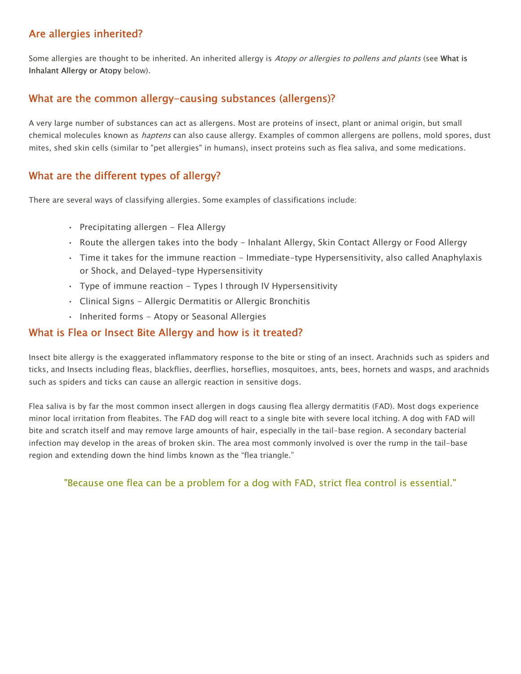### Are allergies inherited?

Some allergies are thought to be inherited. An inherited allergy is Atopy or allergies to pollens and plants (see What is Inhalant Allergy or Atopy below).

### What are the common allergy-causing substances (allergens)?

A very large number of substances can act as allergens. Most are proteins of insect, plant or animal origin, but small chemical molecules known as *haptens* can also cause allergy. Examples of common allergens are pollens, mold spores, dust mites, shed skin cells (similar to "pet allergies" in humans), insect proteins such as flea saliva, and some medications.

### What are the different types of allergy?

There are several ways of classifying allergies. Some examples of classifications include:

- Precipitating allergen Flea Allergy
- Route the allergen takes into the body Inhalant Allergy, Skin Contact Allergy or Food Allergy
- Time it takes for the immune reaction Immediate-type Hypersensitivity, also called Anaphylaxis or Shock, and Delayed-type Hypersensitivity
- $\cdot$  Type of immune reaction Types I through IV Hypersensitivity
- Clinical Signs Allergic Dermatitis or Allergic Bronchitis
- Inherited forms Atopy or Seasonal Allergies

#### What is Flea or Insect Bite Allergy and how is it treated?

Insect bite allergy is the exaggerated inflammatory response to the bite or sting of an insect. Arachnids such as spiders and ticks, and Insects including fleas, blackflies, deerflies, horseflies, mosquitoes, ants, bees, hornets and wasps, and arachnids such as spiders and ticks can cause an allergic reaction in sensitive dogs.

Flea saliva is by far the most common insect allergen in dogs causing flea allergy dermatitis (FAD). Most dogs experience minor local irritation from fleabites. The FAD dog will react to a single bite with severe local itching. A dog with FAD will bite and scratch itself and may remove large amounts of hair, especially in the tail-base region. A secondary bacterial infection may develop in the areas of broken skin. The area most commonly involved is over the rump in the tail-base region and extending down the hind limbs known as the "flea triangle."

"Because one flea can be a problem for a dog with FAD, strict flea control is essential."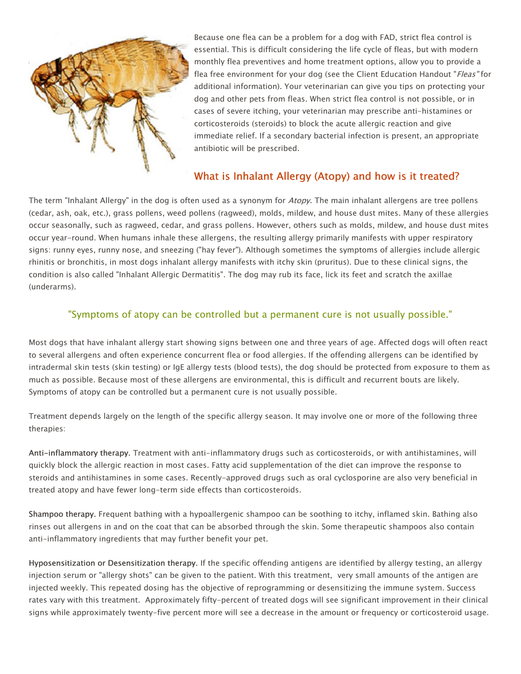

Because one flea can be a problem for a dog with FAD, strict flea control is essential. This is difficult considering the life cycle of fleas, but with modern monthly flea preventives and home treatment options, allow you to provide a flea free environment for your dog (see the Client Education Handout "Fleas" for additional information). Your veterinarian can give you tips on protecting your dog and other pets from fleas. When strict flea control is not possible, or in cases of severe itching, your veterinarian may prescribe anti-histamines or corticosteroids (steroids) to block the acute allergic reaction and give immediate relief. If a secondary bacterial infection is present, an appropriate antibiotic will be prescribed.

### What is Inhalant Allergy (Atopy) and how is it treated?

The term "Inhalant Allergy" in the dog is often used as a synonym for Atopy. The main inhalant allergens are tree pollens (cedar, ash, oak, etc.), grass pollens, weed pollens (ragweed), molds, mildew, and house dust mites. Many of these allergies occur seasonally, such as ragweed, cedar, and grass pollens. However, others such as molds, mildew, and house dust mites occur year-round. When humans inhale these allergens, the resulting allergy primarily manifests with upper respiratory signs: runny eyes, runny nose, and sneezing ("hay fever"). Although sometimes the symptoms of allergies include allergic rhinitis or bronchitis, in most dogs inhalant allergy manifests with itchy skin (pruritus). Due to these clinical signs, the condition is also called "Inhalant Allergic Dermatitis". The dog may rub its face, lick its feet and scratch the axillae (underarms).

#### "Symptoms of atopy can be controlled but a permanent cure is not usually possible."

Most dogs that have inhalant allergy start showing signs between one and three years of age. Affected dogs will often react to several allergens and often experience concurrent flea or food allergies. If the offending allergens can be identified by intradermal skin tests (skin testing) or IgE allergy tests (blood tests), the dog should be protected from exposure to them as much as possible. Because most of these allergens are environmental, this is difficult and recurrent bouts are likely. Symptoms of atopy can be controlled but a permanent cure is not usually possible.

Treatment depends largely on the length of the specific allergy season. It may involve one or more of the following three therapies:

Anti-inflammatory therapy. Treatment with anti-inflammatory drugs such as corticosteroids, or with antihistamines, will quickly block the allergic reaction in most cases. Fatty acid supplementation of the diet can improve the response to steroids and antihistamines in some cases. Recently-approved drugs such as oral cyclosporine are also very beneficial in treated atopy and have fewer long-term side effects than corticosteroids.

Shampoo therapy. Frequent bathing with a hypoallergenic shampoo can be soothing to itchy, inflamed skin. Bathing also rinses out allergens in and on the coat that can be absorbed through the skin. Some therapeutic shampoos also contain anti-inflammatory ingredients that may further benefit your pet.

Hyposensitization or Desensitization therapy. If the specific offending antigens are identified by allergy testing, an allergy injection serum or "allergy shots" can be given to the patient. With this treatment, very small amounts of the antigen are injected weekly. This repeated dosing has the objective of reprogramming or desensitizing the immune system. Success rates vary with this treatment. Approximately fifty-percent of treated dogs will see significant improvement in their clinical signs while approximately twenty-five percent more will see a decrease in the amount or frequency or corticosteroid usage.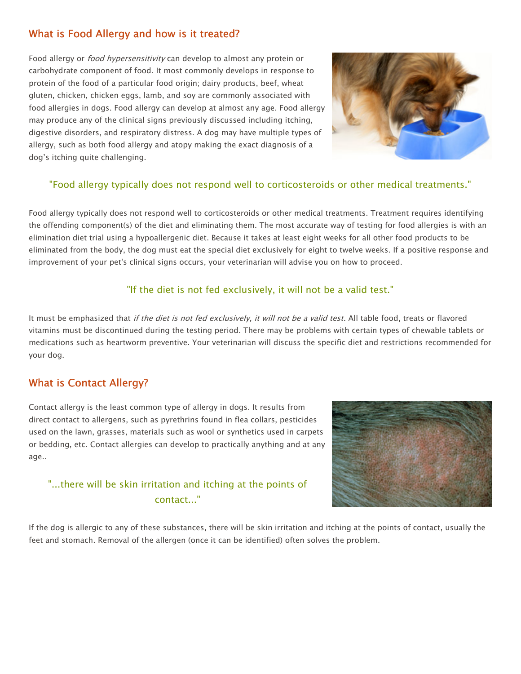### What is Food Allergy and how is it treated?

Food allergy or *food hypersensitivity* can develop to almost any protein or carbohydrate component of food. It most commonly develops in response to protein of the food of a particular food origin; dairy products, beef, wheat gluten, chicken, chicken eggs, lamb, and soy are commonly associated with food allergies in dogs. Food allergy can develop at almost any age. Food allergy may produce any of the clinical signs previously discussed including itching, digestive disorders, and respiratory distress. A dog may have multiple types of allergy, such as both food allergy and atopy making the exact diagnosis of a dog's itching quite challenging.



#### "Food allergy typically does not respond well to corticosteroids or other medical treatments."

Food allergy typically does not respond well to corticosteroids or other medical treatments. Treatment requires identifying the offending component(s) of the diet and eliminating them. The most accurate way of testing for food allergies is with an elimination diet trial using a hypoallergenic diet. Because it takes at least eight weeks for all other food products to be eliminated from the body, the dog must eat the special diet exclusively for eight to twelve weeks. If a positive response and improvement of your pet's clinical signs occurs, your veterinarian will advise you on how to proceed.

#### "If the diet is not fed exclusively, it will not be a valid test."

It must be emphasized that if the diet is not fed exclusively, it will not be a valid test. All table food, treats or flavored vitamins must be discontinued during the testing period. There may be problems with certain types of chewable tablets or medications such as heartworm preventive. Your veterinarian will discuss the specific diet and restrictions recommended for your dog.

### What is Contact Allergy?

Contact allergy is the least common type of allergy in dogs. It results from direct contact to allergens, such as pyrethrins found in flea collars, pesticides used on the lawn, grasses, materials such as wool or synthetics used in carpets or bedding, etc. Contact allergies can develop to practically anything and at any age..

## "...there will be skin irritation and itching at the points of contact..."



If the dog is allergic to any of these substances, there will be skin irritation and itching at the points of contact, usually the feet and stomach. Removal of the allergen (once it can be identified) often solves the problem.